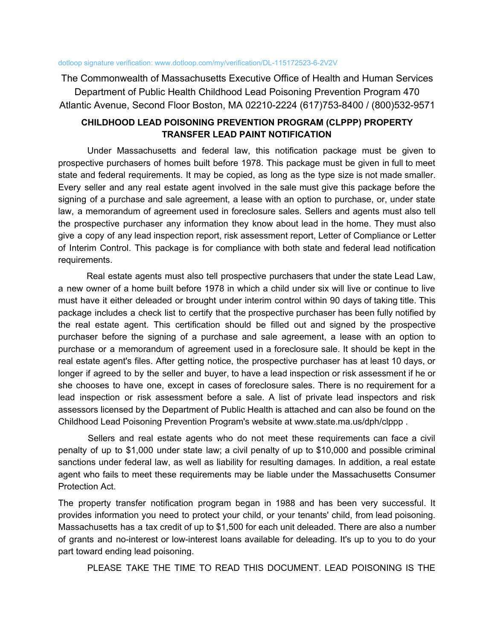The Commonwealth of Massachusetts Executive Office of Health and Human Services Department of Public Health Childhood Lead Poisoning Prevention Program 470 Atlantic Avenue, Second Floor Boston, MA 02210-2224 (617)753-8400 / (800)532-9571

# **CHILDHOOD LEAD POISONING PREVENTION PROGRAM (CLPPP) PROPERTY TRANSFER LEAD PAINT NOTIFICATION**

Under Massachusetts and federal law, this notification package must be given to prospective purchasers of homes built before 1978. This package must be given in full to meet state and federal requirements. It may be copied, as long as the type size is not made smaller. Every seller and any real estate agent involved in the sale must give this package before the signing of a purchase and sale agreement, a lease with an option to purchase, or, under state law, a memorandum of agreement used in foreclosure sales. Sellers and agents must also tell the prospective purchaser any information they know about lead in the home. They must also give a copy of any lead inspection report, risk assessment report, Letter of Compliance or Letter of Interim Control. This package is for compliance with both state and federal lead notification requirements.

Real estate agents must also tell prospective purchasers that under the state Lead Law, a new owner of a home built before 1978 in which a child under six will live or continue to live must have it either deleaded or brought under interim control within 90 days of taking title. This package includes a check list to certify that the prospective purchaser has been fully notified by the real estate agent. This certification should be filled out and signed by the prospective purchaser before the signing of a purchase and sale agreement, a lease with an option to purchase or a memorandum of agreement used in a foreclosure sale. It should be kept in the real estate agent's files. After getting notice, the prospective purchaser has at least 10 days, or longer if agreed to by the seller and buyer, to have a lead inspection or risk assessment if he or she chooses to have one, except in cases of foreclosure sales. There is no requirement for a lead inspection or risk assessment before a sale. A list of private lead inspectors and risk assessors licensed by the Department of Public Health is attached and can also be found on the Childhood Lead Poisoning Prevention Program's website at www.state.ma.us/dph/clppp.

Sellers and real estate agents who do not meet these requirements can face a civil penalty of up to \$1,000 under state law; a civil penalty of up to \$10,000 and possible criminal sanctions under federal law, as well as liability for resulting damages. In addition, a real estate agent who fails to meet these requirements may be liable under the Massachusetts Consumer Protection Act.

The property transfer notification program began in 1988 and has been very successful. It provides information you need to protect your child, or your tenants' child, from lead poisoning. Massachusetts has a tax credit of up to \$1,500 for each unit deleaded. There are also a number of grants and no-interest or low-interest loans available for deleading. It's up to you to do your part toward ending lead poisoning.

PLEASE TAKE THE TIME TO READ THIS DOCUMENT. LEAD POISONING IS THE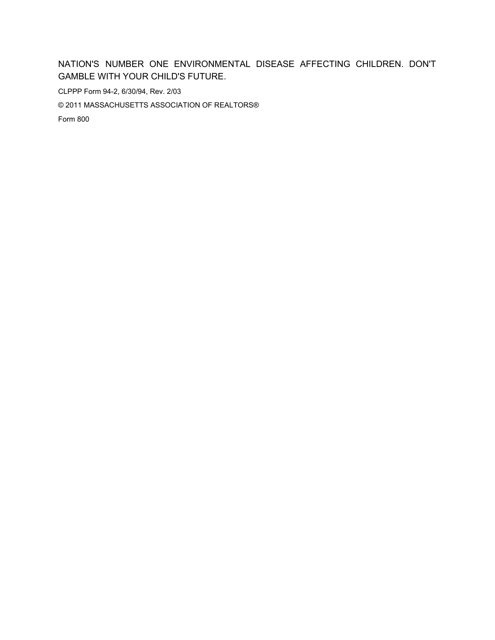# NATION'S NUMBER ONE ENVIRONMENTAL DISEASE AFFECTING CHILDREN. DON'T **GAMBLE WITH YOUR CHILD'S FUTURE.**

CLPPP Form 94-2, 6/30/94, Rev. 2/03

© 2011 MASSACHUSETTS ASSOCIATION OF REALTORS®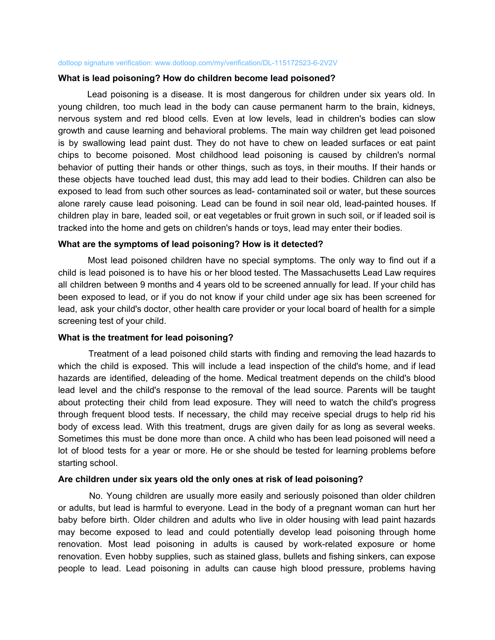### What is lead poisoning? How do children become lead poisoned?

Lead poisoning is a disease. It is most dangerous for children under six years old. In young children, too much lead in the body can cause permanent harm to the brain, kidneys, nervous system and red blood cells. Even at low levels, lead in children's bodies can slow growth and cause learning and behavioral problems. The main way children get lead poisoned is by swallowing lead paint dust. They do not have to chew on leaded surfaces or eat paint chips to become poisoned. Most childhood lead poisoning is caused by children's normal behavior of putting their hands or other things, such as toys, in their mouths. If their hands or these objects have touched lead dust, this may add lead to their bodies. Children can also be exposed to lead from such other sources as lead-contaminated soil or water, but these sources alone rarely cause lead poisoning. Lead can be found in soil near old, lead-painted houses. If children play in bare, leaded soil, or eat vegetables or fruit grown in such soil, or if leaded soil is tracked into the home and gets on children's hands or toys, lead may enter their bodies.

## What are the symptoms of lead poisoning? How is it detected?

Most lead poisoned children have no special symptoms. The only way to find out if a child is lead poisoned is to have his or her blood tested. The Massachusetts Lead Law requires all children between 9 months and 4 years old to be screened annually for lead. If your child has been exposed to lead, or if you do not know if your child under age six has been screened for lead, ask your child's doctor, other health care provider or your local board of health for a simple screening test of your child.

## What is the treatment for lead poisoning?

Treatment of a lead poisoned child starts with finding and removing the lead hazards to which the child is exposed. This will include a lead inspection of the child's home, and if lead hazards are identified, deleading of the home. Medical treatment depends on the child's blood lead level and the child's response to the removal of the lead source. Parents will be taught about protecting their child from lead exposure. They will need to watch the child's progress through frequent blood tests. If necessary, the child may receive special drugs to help rid his body of excess lead. With this treatment, drugs are given daily for as long as several weeks. Sometimes this must be done more than once. A child who has been lead poisoned will need a lot of blood tests for a year or more. He or she should be tested for learning problems before starting school.

## Are children under six years old the only ones at risk of lead poisoning?

No. Young children are usually more easily and seriously poisoned than older children or adults, but lead is harmful to everyone. Lead in the body of a pregnant woman can hurt her baby before birth. Older children and adults who live in older housing with lead paint hazards may become exposed to lead and could potentially develop lead poisoning through home renovation. Most lead poisoning in adults is caused by work-related exposure or home renovation. Even hobby supplies, such as stained glass, bullets and fishing sinkers, can expose people to lead. Lead poisoning in adults can cause high blood pressure, problems having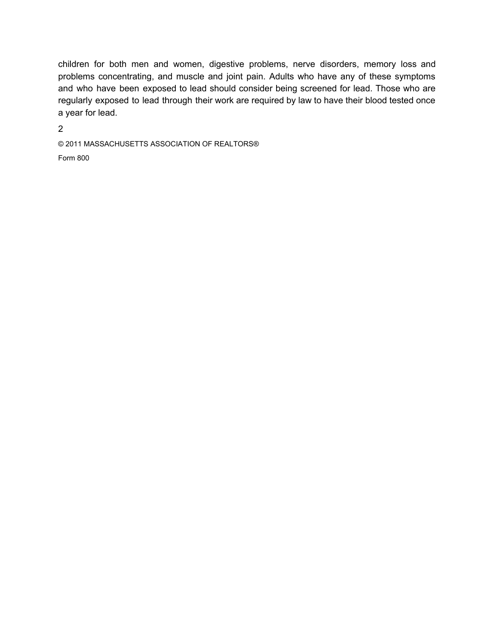children for both men and women, digestive problems, nerve disorders, memory loss and problems concentrating, and muscle and joint pain. Adults who have any of these symptoms and who have been exposed to lead should consider being screened for lead. Those who are regularly exposed to lead through their work are required by law to have their blood tested once a year for lead.

 $\overline{2}$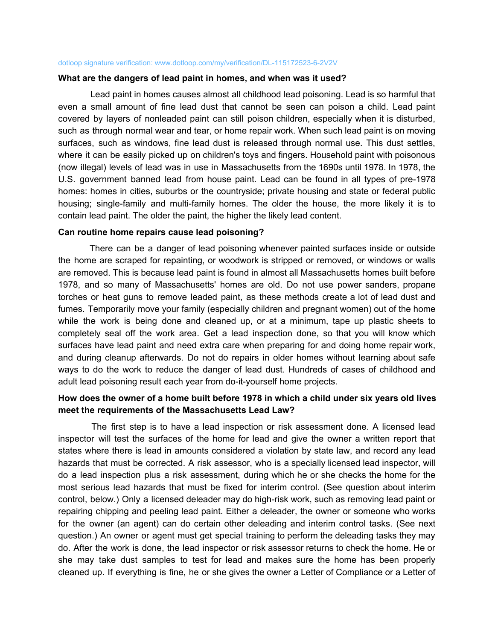### What are the dangers of lead paint in homes, and when was it used?

Lead paint in homes causes almost all childhood lead poisoning. Lead is so harmful that even a small amount of fine lead dust that cannot be seen can poison a child. Lead paint covered by layers of nonleaded paint can still poison children, especially when it is disturbed, such as through normal wear and tear, or home repair work. When such lead paint is on moving surfaces, such as windows, fine lead dust is released through normal use. This dust settles, where it can be easily picked up on children's toys and fingers. Household paint with poisonous (now illegal) levels of lead was in use in Massachusetts from the 1690s until 1978. In 1978, the U.S. government banned lead from house paint. Lead can be found in all types of pre-1978 homes: homes in cities, suburbs or the countryside; private housing and state or federal public housing; single-family and multi-family homes. The older the house, the more likely it is to contain lead paint. The older the paint, the higher the likely lead content.

### Can routine home repairs cause lead poisoning?

There can be a danger of lead poisoning whenever painted surfaces inside or outside the home are scraped for repainting, or woodwork is stripped or removed, or windows or walls are removed. This is because lead paint is found in almost all Massachusetts homes built before 1978, and so many of Massachusetts' homes are old. Do not use power sanders, propane torches or heat guns to remove leaded paint, as these methods create a lot of lead dust and fumes. Temporarily move your family (especially children and pregnant women) out of the home while the work is being done and cleaned up, or at a minimum, tape up plastic sheets to completely seal off the work area. Get a lead inspection done, so that you will know which surfaces have lead paint and need extra care when preparing for and doing home repair work, and during cleanup afterwards. Do not do repairs in older homes without learning about safe ways to do the work to reduce the danger of lead dust. Hundreds of cases of childhood and adult lead poisoning result each year from do-it-yourself home projects.

# How does the owner of a home built before 1978 in which a child under six years old lives meet the requirements of the Massachusetts Lead Law?

The first step is to have a lead inspection or risk assessment done. A licensed lead inspector will test the surfaces of the home for lead and give the owner a written report that states where there is lead in amounts considered a violation by state law, and record any lead hazards that must be corrected. A risk assessor, who is a specially licensed lead inspector, will do a lead inspection plus a risk assessment, during which he or she checks the home for the most serious lead hazards that must be fixed for interim control. (See question about interim control, below.) Only a licensed deleader may do high-risk work, such as removing lead paint or repairing chipping and peeling lead paint. Either a deleader, the owner or someone who works for the owner (an agent) can do certain other deleading and interim control tasks. (See next guestion.) An owner or agent must get special training to perform the deleading tasks they may do. After the work is done, the lead inspector or risk assessor returns to check the home. He or she may take dust samples to test for lead and makes sure the home has been properly cleaned up. If everything is fine, he or she gives the owner a Letter of Compliance or a Letter of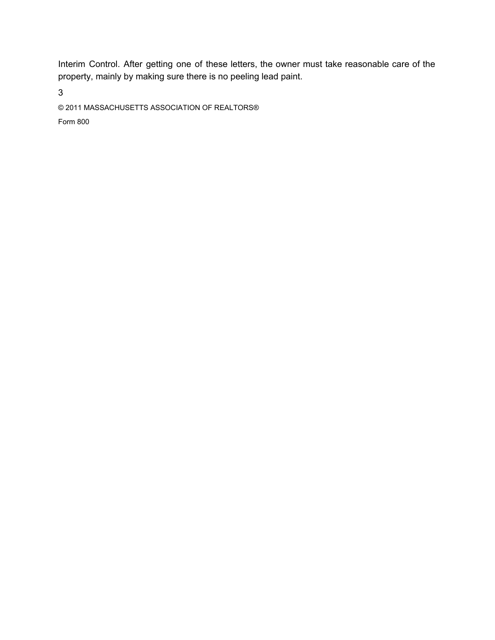Interim Control. After getting one of these letters, the owner must take reasonable care of the property, mainly by making sure there is no peeling lead paint.

 $\mathbf{3}$ 

© 2011 MASSACHUSETTS ASSOCIATION OF REALTORS®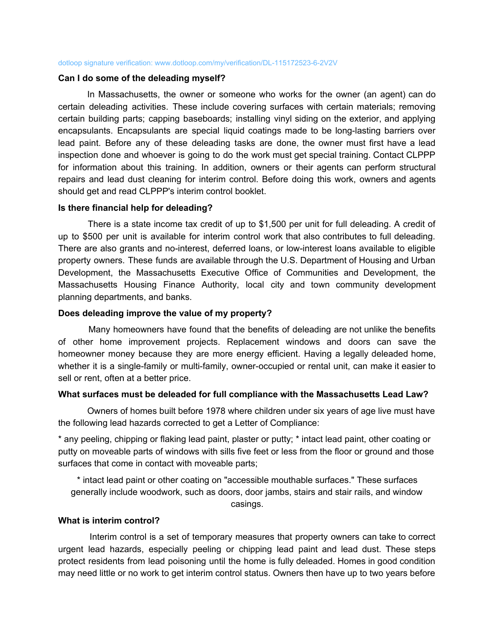### Can I do some of the deleading myself?

In Massachusetts, the owner or someone who works for the owner (an agent) can do certain deleading activities. These include covering surfaces with certain materials; removing certain building parts; capping baseboards; installing vinyl siding on the exterior, and applying encapsulants. Encapsulants are special liquid coatings made to be long-lasting barriers over lead paint. Before any of these deleading tasks are done, the owner must first have a lead inspection done and whoever is going to do the work must get special training. Contact CLPPP for information about this training. In addition, owners or their agents can perform structural repairs and lead dust cleaning for interim control. Before doing this work, owners and agents should get and read CLPPP's interim control booklet.

### Is there financial help for deleading?

There is a state income tax credit of up to \$1,500 per unit for full deleading. A credit of up to \$500 per unit is available for interim control work that also contributes to full deleading. There are also grants and no-interest, deferred loans, or low-interest loans available to eligible property owners. These funds are available through the U.S. Department of Housing and Urban Development, the Massachusetts Executive Office of Communities and Development, the Massachusetts Housing Finance Authority, local city and town community development planning departments, and banks.

## Does deleading improve the value of my property?

Many homeowners have found that the benefits of deleading are not unlike the benefits of other home improvement projects. Replacement windows and doors can save the homeowner money because they are more energy efficient. Having a legally deleaded home, whether it is a single-family or multi-family, owner-occupied or rental unit, can make it easier to sell or rent, often at a better price.

### What surfaces must be deleaded for full compliance with the Massachusetts Lead Law?

Owners of homes built before 1978 where children under six years of age live must have the following lead hazards corrected to get a Letter of Compliance:

\* any peeling, chipping or flaking lead paint, plaster or putty; \* intact lead paint, other coating or putty on moveable parts of windows with sills five feet or less from the floor or ground and those surfaces that come in contact with moveable parts;

\* intact lead paint or other coating on "accessible mouthable surfaces." These surfaces generally include woodwork, such as doors, door jambs, stairs and stair rails, and window casings.

### What is interim control?

Interim control is a set of temporary measures that property owners can take to correct urgent lead hazards, especially peeling or chipping lead paint and lead dust. These steps protect residents from lead poisoning until the home is fully deleaded. Homes in good condition may need little or no work to get interim control status. Owners then have up to two years before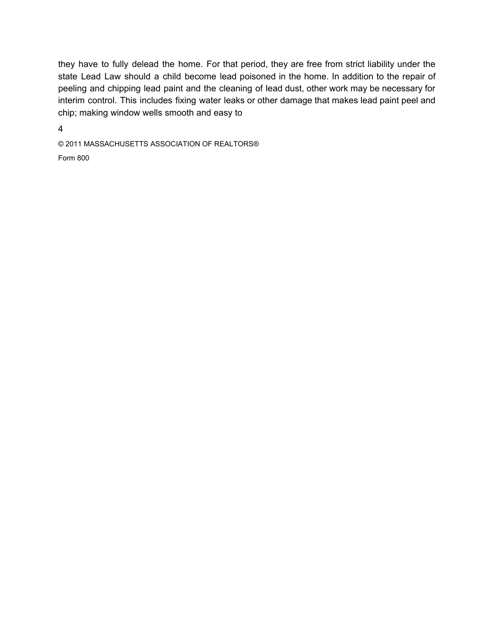they have to fully delead the home. For that period, they are free from strict liability under the state Lead Law should a child become lead poisoned in the home. In addition to the repair of peeling and chipping lead paint and the cleaning of lead dust, other work may be necessary for interim control. This includes fixing water leaks or other damage that makes lead paint peel and chip; making window wells smooth and easy to

 $\overline{4}$ 

© 2011 MASSACHUSETTS ASSOCIATION OF REALTORS®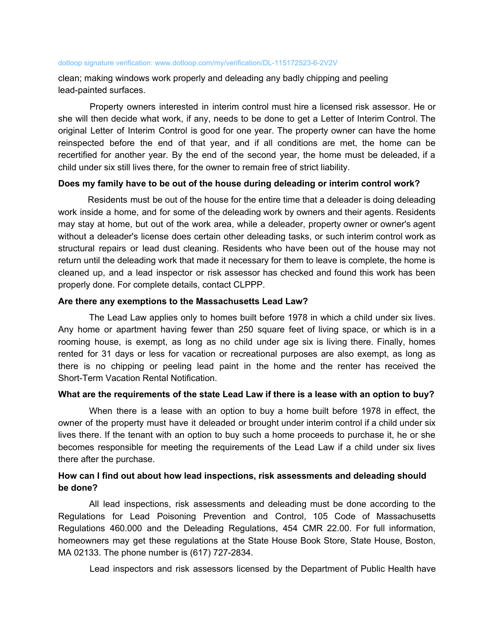clean; making windows work properly and deleading any badly chipping and peeling lead-painted surfaces.

Property owners interested in interim control must hire a licensed risk assessor. He or she will then decide what work, if any, needs to be done to get a Letter of Interim Control. The original Letter of Interim Control is good for one year. The property owner can have the home reinspected before the end of that year, and if all conditions are met, the home can be recertified for another year. By the end of the second year, the home must be deleaded, if a child under six still lives there, for the owner to remain free of strict liability.

## Does my family have to be out of the house during deleading or interim control work?

Residents must be out of the house for the entire time that a deleader is doing deleading work inside a home, and for some of the deleading work by owners and their agents. Residents may stay at home, but out of the work area, while a deleader, property owner or owner's agent without a deleader's license does certain other deleading tasks, or such interim control work as structural repairs or lead dust cleaning. Residents who have been out of the house may not return until the deleading work that made it necessary for them to leave is complete, the home is cleaned up, and a lead inspector or risk assessor has checked and found this work has been properly done. For complete details, contact CLPPP.

## Are there any exemptions to the Massachusetts Lead Law?

The Lead Law applies only to homes built before 1978 in which a child under six lives. Any home or apartment having fewer than 250 square feet of living space, or which is in a rooming house, is exempt, as long as no child under age six is living there. Finally, homes rented for 31 days or less for vacation or recreational purposes are also exempt, as long as there is no chipping or peeling lead paint in the home and the renter has received the Short-Term Vacation Rental Notification.

## What are the requirements of the state Lead Law if there is a lease with an option to buy?

When there is a lease with an option to buy a home built before 1978 in effect, the owner of the property must have it deleaded or brought under interim control if a child under six lives there. If the tenant with an option to buy such a home proceeds to purchase it, he or she becomes responsible for meeting the requirements of the Lead Law if a child under six lives there after the purchase.

## How can I find out about how lead inspections, risk assessments and deleading should be done?

All lead inspections, risk assessments and deleading must be done according to the Regulations for Lead Poisoning Prevention and Control, 105 Code of Massachusetts Regulations 460.000 and the Deleading Regulations, 454 CMR 22.00. For full information, homeowners may get these regulations at the State House Book Store, State House, Boston, MA 02133. The phone number is (617) 727-2834.

Lead inspectors and risk assessors licensed by the Department of Public Health have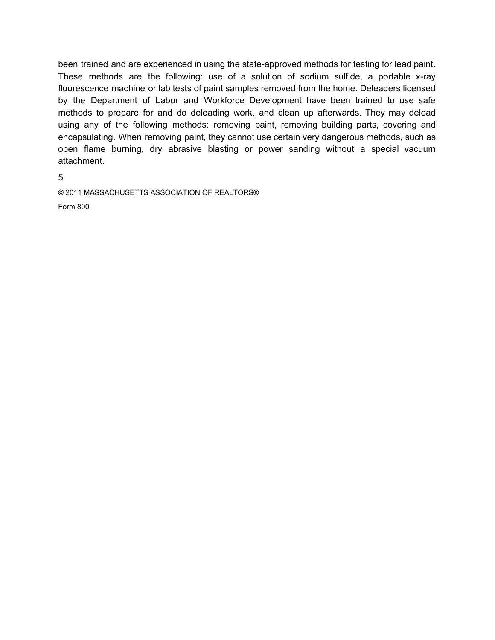been trained and are experienced in using the state-approved methods for testing for lead paint. These methods are the following: use of a solution of sodium sulfide, a portable x-ray fluorescence machine or lab tests of paint samples removed from the home. Deleaders licensed by the Department of Labor and Workforce Development have been trained to use safe methods to prepare for and do deleading work, and clean up afterwards. They may delead using any of the following methods: removing paint, removing building parts, covering and encapsulating. When removing paint, they cannot use certain very dangerous methods, such as open flame burning, dry abrasive blasting or power sanding without a special vacuum attachment.

5

© 2011 MASSACHUSETTS ASSOCIATION OF REALTORS®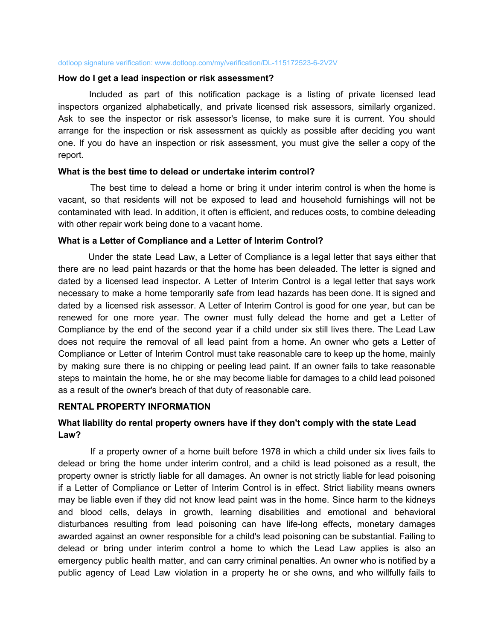### How do I get a lead inspection or risk assessment?

Included as part of this notification package is a listing of private licensed lead inspectors organized alphabetically, and private licensed risk assessors, similarly organized. Ask to see the inspector or risk assessor's license, to make sure it is current. You should arrange for the inspection or risk assessment as quickly as possible after deciding you want one. If you do have an inspection or risk assessment, you must give the seller a copy of the report.

## What is the best time to delead or undertake interim control?

The best time to delead a home or bring it under interim control is when the home is vacant, so that residents will not be exposed to lead and household furnishings will not be contaminated with lead. In addition, it often is efficient, and reduces costs, to combine deleading with other repair work being done to a vacant home.

## What is a Letter of Compliance and a Letter of Interim Control?

Under the state Lead Law, a Letter of Compliance is a legal letter that says either that there are no lead paint hazards or that the home has been deleaded. The letter is signed and dated by a licensed lead inspector. A Letter of Interim Control is a legal letter that says work necessary to make a home temporarily safe from lead hazards has been done. It is signed and dated by a licensed risk assessor. A Letter of Interim Control is good for one year, but can be renewed for one more year. The owner must fully delead the home and get a Letter of Compliance by the end of the second year if a child under six still lives there. The Lead Law does not require the removal of all lead paint from a home. An owner who gets a Letter of Compliance or Letter of Interim Control must take reasonable care to keep up the home, mainly by making sure there is no chipping or peeling lead paint. If an owner fails to take reasonable steps to maintain the home, he or she may become liable for damages to a child lead poisoned as a result of the owner's breach of that duty of reasonable care.

## **RENTAL PROPERTY INFORMATION**

# What liability do rental property owners have if they don't comply with the state Lead Law?

If a property owner of a home built before 1978 in which a child under six lives fails to delead or bring the home under interim control, and a child is lead poisoned as a result, the property owner is strictly liable for all damages. An owner is not strictly liable for lead poisoning if a Letter of Compliance or Letter of Interim Control is in effect. Strict liability means owners may be liable even if they did not know lead paint was in the home. Since harm to the kidneys and blood cells, delays in growth, learning disabilities and emotional and behavioral disturbances resulting from lead poisoning can have life-long effects, monetary damages awarded against an owner responsible for a child's lead poisoning can be substantial. Failing to delead or bring under interim control a home to which the Lead Law applies is also an emergency public health matter, and can carry criminal penalties. An owner who is notified by a public agency of Lead Law violation in a property he or she owns, and who willfully fails to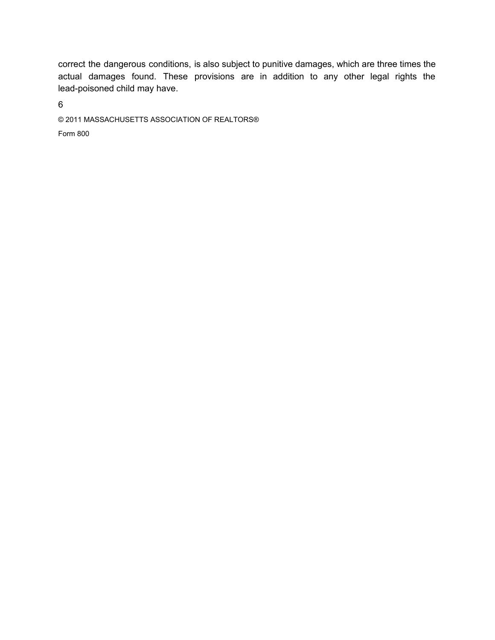correct the dangerous conditions, is also subject to punitive damages, which are three times the actual damages found. These provisions are in addition to any other legal rights the lead-poisoned child may have.

 $6\overline{6}$ 

© 2011 MASSACHUSETTS ASSOCIATION OF REALTORS®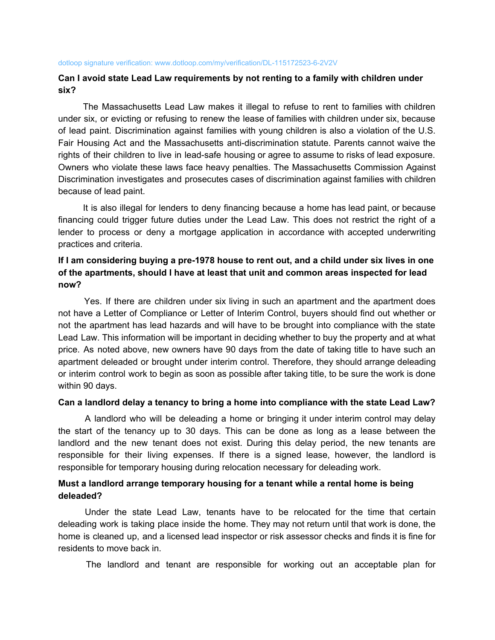## Can I avoid state Lead Law requirements by not renting to a family with children under six?

The Massachusetts Lead Law makes it illegal to refuse to rent to families with children under six, or evicting or refusing to renew the lease of families with children under six, because of lead paint. Discrimination against families with young children is also a violation of the U.S. Fair Housing Act and the Massachusetts anti-discrimination statute. Parents cannot waive the rights of their children to live in lead-safe housing or agree to assume to risks of lead exposure. Owners who violate these laws face heavy penalties. The Massachusetts Commission Against Discrimination investigates and prosecutes cases of discrimination against families with children because of lead paint.

It is also illegal for lenders to deny financing because a home has lead paint, or because financing could trigger future duties under the Lead Law. This does not restrict the right of a lender to process or deny a mortgage application in accordance with accepted underwriting practices and criteria.

# If I am considering buying a pre-1978 house to rent out, and a child under six lives in one of the apartments, should I have at least that unit and common areas inspected for lead now?

Yes. If there are children under six living in such an apartment and the apartment does not have a Letter of Compliance or Letter of Interim Control, buyers should find out whether or not the apartment has lead hazards and will have to be brought into compliance with the state Lead Law. This information will be important in deciding whether to buy the property and at what price. As noted above, new owners have 90 days from the date of taking title to have such an apartment deleaded or brought under interim control. Therefore, they should arrange deleading or interim control work to begin as soon as possible after taking title, to be sure the work is done within 90 days.

## Can a landlord delay a tenancy to bring a home into compliance with the state Lead Law?

A landlord who will be deleading a home or bringing it under interim control may delay the start of the tenancy up to 30 days. This can be done as long as a lease between the landlord and the new tenant does not exist. During this delay period, the new tenants are responsible for their living expenses. If there is a signed lease, however, the landlord is responsible for temporary housing during relocation necessary for deleading work.

## Must a landlord arrange temporary housing for a tenant while a rental home is being deleaded?

Under the state Lead Law, tenants have to be relocated for the time that certain deleading work is taking place inside the home. They may not return until that work is done, the home is cleaned up, and a licensed lead inspector or risk assessor checks and finds it is fine for residents to move back in

The landlord and tenant are responsible for working out an acceptable plan for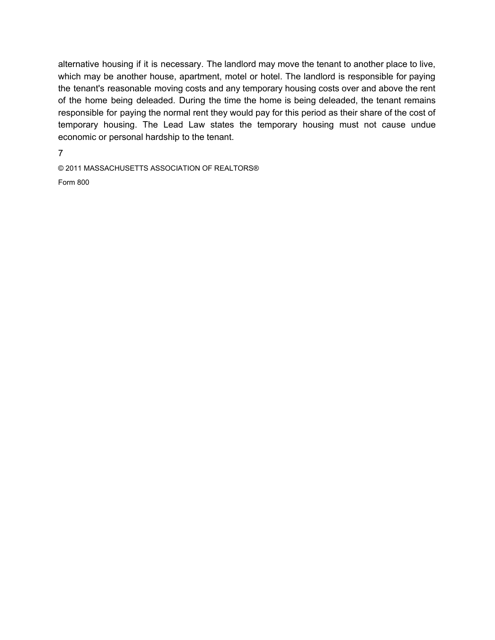alternative housing if it is necessary. The landlord may move the tenant to another place to live, which may be another house, apartment, motel or hotel. The landlord is responsible for paying the tenant's reasonable moving costs and any temporary housing costs over and above the rent of the home being deleaded. During the time the home is being deleaded, the tenant remains responsible for paying the normal rent they would pay for this period as their share of the cost of temporary housing. The Lead Law states the temporary housing must not cause undue economic or personal hardship to the tenant.

 $\overline{7}$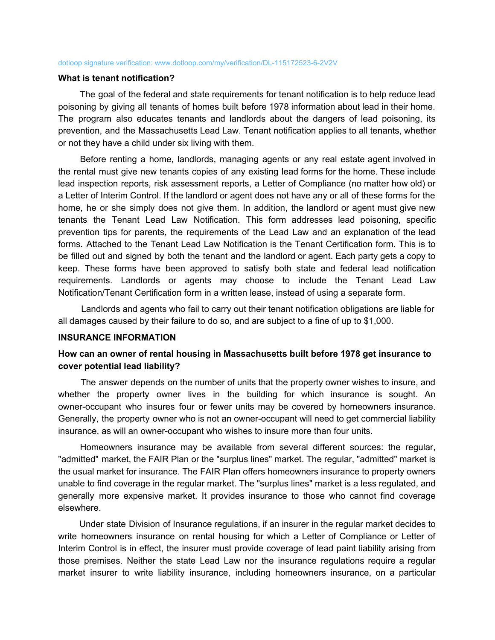### What is tenant notification?

The goal of the federal and state requirements for tenant notification is to help reduce lead poisoning by giving all tenants of homes built before 1978 information about lead in their home. The program also educates tenants and landlords about the dangers of lead poisoning, its prevention, and the Massachusetts Lead Law. Tenant notification applies to all tenants, whether or not they have a child under six living with them.

Before renting a home, landlords, managing agents or any real estate agent involved in the rental must give new tenants copies of any existing lead forms for the home. These include lead inspection reports, risk assessment reports, a Letter of Compliance (no matter how old) or a Letter of Interim Control. If the landlord or agent does not have any or all of these forms for the home, he or she simply does not give them. In addition, the landlord or agent must give new tenants the Tenant Lead Law Notification. This form addresses lead poisoning, specific prevention tips for parents, the requirements of the Lead Law and an explanation of the lead forms. Attached to the Tenant Lead Law Notification is the Tenant Certification form. This is to be filled out and signed by both the tenant and the landlord or agent. Each party gets a copy to keep. These forms have been approved to satisfy both state and federal lead notification requirements. Landlords or agents may choose to include the Tenant Lead Law Notification/Tenant Certification form in a written lease, instead of using a separate form.

Landlords and agents who fail to carry out their tenant notification obligations are liable for all damages caused by their failure to do so, and are subject to a fine of up to \$1,000.

### **INSURANCE INFORMATION**

## How can an owner of rental housing in Massachusetts built before 1978 get insurance to cover potential lead liability?

The answer depends on the number of units that the property owner wishes to insure, and whether the property owner lives in the building for which insurance is sought. An owner-occupant who insures four or fewer units may be covered by homeowners insurance. Generally, the property owner who is not an owner-occupant will need to get commercial liability insurance, as will an owner-occupant who wishes to insure more than four units.

Homeowners insurance may be available from several different sources: the regular, "admitted" market, the FAIR Plan or the "surplus lines" market. The regular, "admitted" market is the usual market for insurance. The FAIR Plan offers homeowners insurance to property owners unable to find coverage in the regular market. The "surplus lines" market is a less regulated, and generally more expensive market. It provides insurance to those who cannot find coverage elsewhere.

Under state Division of Insurance regulations, if an insurer in the regular market decides to write homeowners insurance on rental housing for which a Letter of Compliance or Letter of Interim Control is in effect, the insurer must provide coverage of lead paint liability arising from those premises. Neither the state Lead Law nor the insurance regulations require a regular market insurer to write liability insurance, including homeowners insurance, on a particular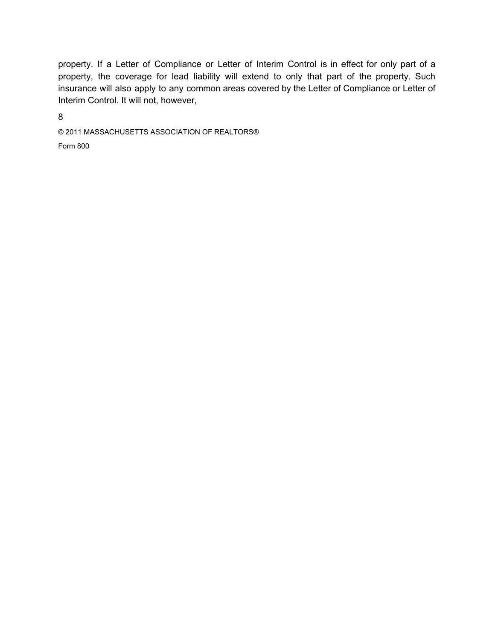property. If a Letter of Compliance or Letter of Interim Control is in effect for only part of a property, the coverage for lead liability will extend to only that part of the property. Such insurance will also apply to any common areas covered by the Letter of Compliance or Letter of Interim Control. It will not, however,

8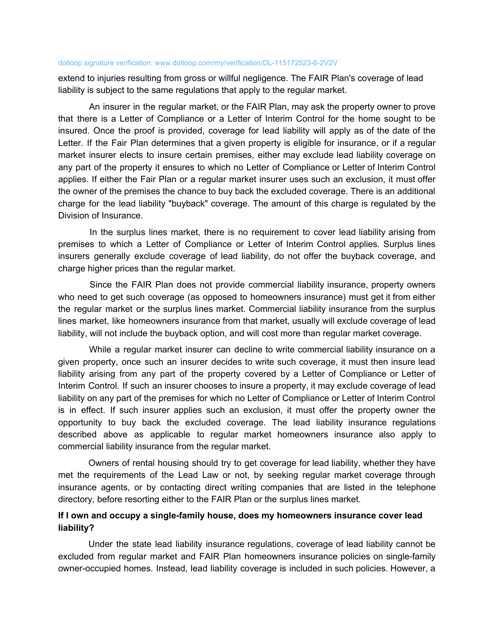extend to injuries resulting from gross or willful negligence. The FAIR Plan's coverage of lead liability is subject to the same regulations that apply to the regular market.

An insurer in the regular market, or the FAIR Plan, may ask the property owner to prove that there is a Letter of Compliance or a Letter of Interim Control for the home sought to be insured. Once the proof is provided, coverage for lead liability will apply as of the date of the Letter. If the Fair Plan determines that a given property is eligible for insurance, or if a regular market insurer elects to insure certain premises, either may exclude lead liability coverage on any part of the property it ensures to which no Letter of Compliance or Letter of Interim Control applies. If either the Fair Plan or a regular market insurer uses such an exclusion, it must offer the owner of the premises the chance to buy back the excluded coverage. There is an additional charge for the lead liability "buyback" coverage. The amount of this charge is regulated by the Division of Insurance.

In the surplus lines market, there is no requirement to cover lead liability arising from premises to which a Letter of Compliance or Letter of Interim Control applies. Surplus lines insurers generally exclude coverage of lead liability, do not offer the buyback coverage, and charge higher prices than the regular market.

Since the FAIR Plan does not provide commercial liability insurance, property owners who need to get such coverage (as opposed to homeowners insurance) must get it from either the regular market or the surplus lines market. Commercial liability insurance from the surplus lines market, like homeowners insurance from that market, usually will exclude coverage of lead liability, will not include the buyback option, and will cost more than regular market coverage.

While a regular market insurer can decline to write commercial liability insurance on a given property, once such an insurer decides to write such coverage, it must then insure lead liability arising from any part of the property covered by a Letter of Compliance or Letter of Interim Control. If such an insurer chooses to insure a property, it may exclude coverage of lead liability on any part of the premises for which no Letter of Compliance or Letter of Interim Control is in effect. If such insurer applies such an exclusion, it must offer the property owner the opportunity to buy back the excluded coverage. The lead liability insurance regulations described above as applicable to regular market homeowners insurance also apply to commercial liability insurance from the regular market.

Owners of rental housing should try to get coverage for lead liability, whether they have met the requirements of the Lead Law or not, by seeking regular market coverage through insurance agents, or by contacting direct writing companies that are listed in the telephone directory, before resorting either to the FAIR Plan or the surplus lines market.

# If I own and occupy a single-family house, does my homeowners insurance cover lead liability?

Under the state lead liability insurance regulations, coverage of lead liability cannot be excluded from regular market and FAIR Plan homeowners insurance policies on single-family owner-occupied homes. Instead, lead liability coverage is included in such policies. However, a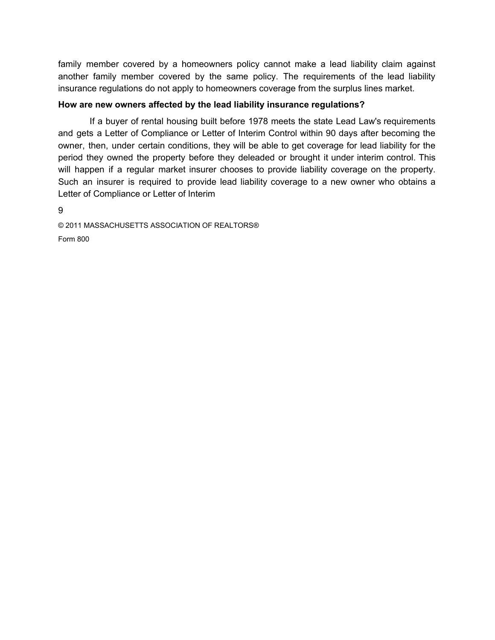family member covered by a homeowners policy cannot make a lead liability claim against another family member covered by the same policy. The requirements of the lead liability insurance regulations do not apply to homeowners coverage from the surplus lines market.

## How are new owners affected by the lead liability insurance regulations?

If a buyer of rental housing built before 1978 meets the state Lead Law's requirements and gets a Letter of Compliance or Letter of Interim Control within 90 days after becoming the owner, then, under certain conditions, they will be able to get coverage for lead liability for the period they owned the property before they deleaded or brought it under interim control. This will happen if a regular market insurer chooses to provide liability coverage on the property. Such an insurer is required to provide lead liability coverage to a new owner who obtains a Letter of Compliance or Letter of Interim

9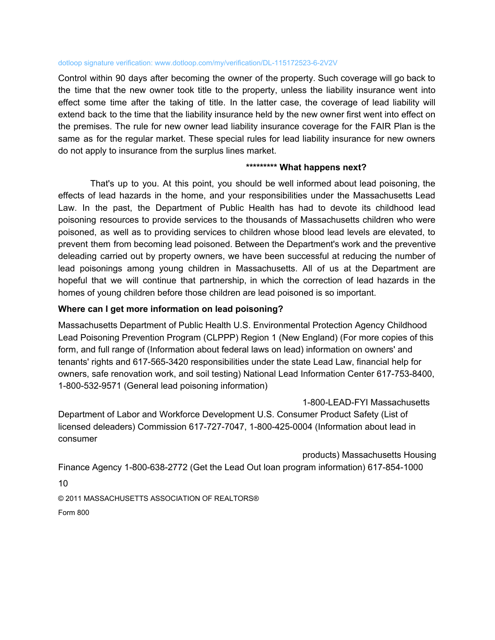Control within 90 days after becoming the owner of the property. Such coverage will go back to the time that the new owner took title to the property, unless the liability insurance went into effect some time after the taking of title. In the latter case, the coverage of lead liability will extend back to the time that the liability insurance held by the new owner first went into effect on the premises. The rule for new owner lead liability insurance coverage for the FAIR Plan is the same as for the regular market. These special rules for lead liability insurance for new owners do not apply to insurance from the surplus lines market.

# \*\*\*\*\*\*\*\*\* What happens next?

That's up to you. At this point, you should be well informed about lead poisoning, the effects of lead hazards in the home, and your responsibilities under the Massachusetts Lead Law. In the past, the Department of Public Health has had to devote its childhood lead poisoning resources to provide services to the thousands of Massachusetts children who were poisoned, as well as to providing services to children whose blood lead levels are elevated, to prevent them from becoming lead poisoned. Between the Department's work and the preventive deleading carried out by property owners, we have been successful at reducing the number of lead poisonings among young children in Massachusetts. All of us at the Department are hopeful that we will continue that partnership, in which the correction of lead hazards in the homes of young children before those children are lead poisoned is so important.

## Where can I get more information on lead poisoning?

Massachusetts Department of Public Health U.S. Environmental Protection Agency Childhood Lead Poisoning Prevention Program (CLPPP) Region 1 (New England) (For more copies of this form, and full range of (Information about federal laws on lead) information on owners' and tenants' rights and 617-565-3420 responsibilities under the state Lead Law, financial help for owners, safe renovation work, and soil testing) National Lead Information Center 617-753-8400, 1-800-532-9571 (General lead poisoning information)

1-800-LEAD-FYI Massachusetts Department of Labor and Workforce Development U.S. Consumer Product Safety (List of licensed deleaders) Commission 617-727-7047, 1-800-425-0004 (Information about lead in consumer

products) Massachusetts Housing

Finance Agency 1-800-638-2772 (Get the Lead Out loan program information) 617-854-1000

 $10<sup>1</sup>$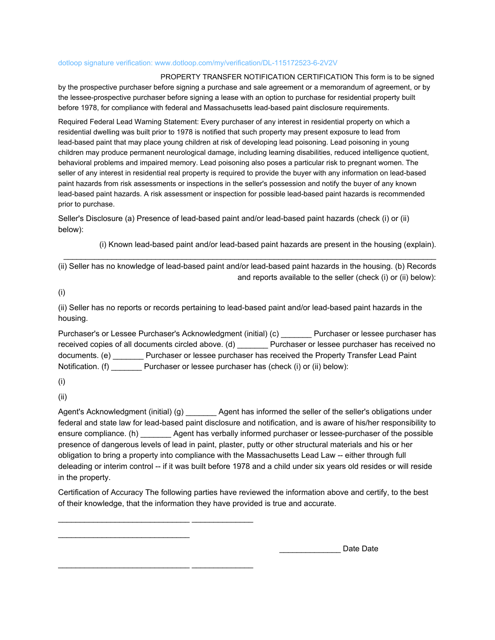PROPERTY TRANSFER NOTIFICATION CERTIFICATION This form is to be signed by the prospective purchaser before signing a purchase and sale agreement or a memorandum of agreement, or by the lessee-prospective purchaser before signing a lease with an option to purchase for residential property built before 1978, for compliance with federal and Massachusetts lead-based paint disclosure requirements.

Required Federal Lead Warning Statement: Every purchaser of any interest in residential property on which a residential dwelling was built prior to 1978 is notified that such property may present exposure to lead from lead-based paint that may place young children at risk of developing lead poisoning. Lead poisoning in young children may produce permanent neurological damage, including learning disabilities, reduced intelligence quotient, behavioral problems and impaired memory. Lead poisoning also poses a particular risk to pregnant women. The seller of any interest in residential real property is required to provide the buyer with any information on lead-based paint hazards from risk assessments or inspections in the seller's possession and notify the buyer of any known lead-based paint hazards. A risk assessment or inspection for possible lead-based paint hazards is recommended prior to purchase.

Seller's Disclosure (a) Presence of lead-based paint and/or lead-based paint hazards (check (i) or (ii) below):

(i) Known lead-based paint and/or lead-based paint hazards are present in the housing (explain).

(ii) Seller has no knowledge of lead-based paint and/or lead-based paint hazards in the housing. (b) Records and reports available to the seller (check (i) or (ii) below):

 $(i)$ 

(ii) Seller has no reports or records pertaining to lead-based paint and/or lead-based paint hazards in the housing.

Purchaser's or Lessee Purchaser's Acknowledgment (initial) (c) Purchaser or lessee purchaser has received copies of all documents circled above. (d) \_\_\_\_\_\_\_ Purchaser or lessee purchaser has received no documents. (e) \_\_\_\_\_\_\_\_ Purchaser or lessee purchaser has received the Property Transfer Lead Paint Notification. (f) Purchaser or lessee purchaser has (check (i) or (ii) below):

 $(i)$ 

 $(ii)$ 

Agent's Acknowledgment (initial) (g) \_\_\_\_\_\_\_\_ Agent has informed the seller of the seller's obligations under federal and state law for lead-based paint disclosure and notification, and is aware of his/her responsibility to ensure compliance. (h) \_\_\_\_\_\_\_\_\_ Agent has verbally informed purchaser or lessee-purchaser of the possible presence of dangerous levels of lead in paint, plaster, putty or other structural materials and his or her obligation to bring a property into compliance with the Massachusetts Lead Law -- either through full deleading or interim control -- if it was built before 1978 and a child under six years old resides or will reside in the property.

Certification of Accuracy The following parties have reviewed the information above and certify, to the best of their knowledge, that the information they have provided is true and accurate.

Date Date